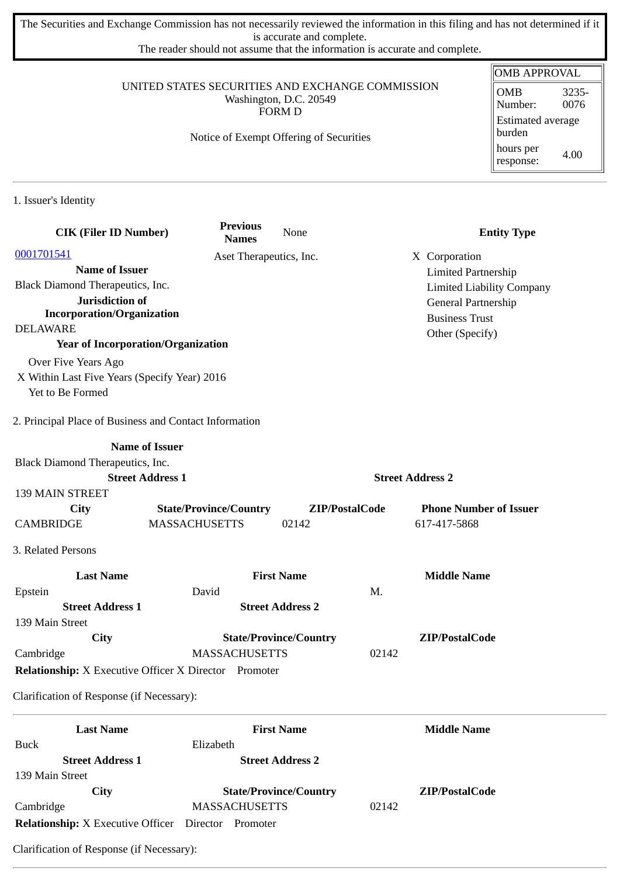The Securities and Exchange Commission has not necessarily reviewed the information in this filing and has not determined if it is accurate and complete.

The reader should not assume that the information is accurate and complete.

## UNITED STATES SECURITIES AND EXCHANGE COMMISSION Washington, D.C. 20549 FORM D

## Notice of Exempt Offering of Securities

| OMB APPROVAL                       |               |  |  |
|------------------------------------|---------------|--|--|
| <b>OMB</b><br>Number:              | 3235-<br>0076 |  |  |
| <b>Estimated average</b><br>burden |               |  |  |
| hours per<br>response:             | 4.00          |  |  |

1. Issuer's Identity

| <b>CIK (Filer ID Number)</b>                                 | <b>Previous</b><br><b>Names</b> | None                          | <b>Entity Type</b>               |  |
|--------------------------------------------------------------|---------------------------------|-------------------------------|----------------------------------|--|
| 0001701541                                                   | Aset Therapeutics, Inc.         |                               | X Corporation                    |  |
| <b>Name of Issuer</b>                                        |                                 | <b>Limited Partnership</b>    |                                  |  |
| Black Diamond Therapeutics, Inc.                             |                                 |                               | <b>Limited Liability Company</b> |  |
| Jurisdiction of                                              |                                 |                               | General Partnership              |  |
| <b>Incorporation/Organization</b>                            |                                 |                               | <b>Business Trust</b>            |  |
| <b>DELAWARE</b>                                              |                                 |                               | Other (Specify)                  |  |
| <b>Year of Incorporation/Organization</b>                    |                                 |                               |                                  |  |
| Over Five Years Ago                                          |                                 |                               |                                  |  |
| X Within Last Five Years (Specify Year) 2016                 |                                 |                               |                                  |  |
| Yet to Be Formed                                             |                                 |                               |                                  |  |
| 2. Principal Place of Business and Contact Information       |                                 |                               |                                  |  |
|                                                              | <b>Name of Issuer</b>           |                               |                                  |  |
| Black Diamond Therapeutics, Inc.                             |                                 |                               |                                  |  |
|                                                              | <b>Street Address 1</b>         |                               | <b>Street Address 2</b>          |  |
| <b>139 MAIN STREET</b>                                       |                                 |                               |                                  |  |
| <b>City</b>                                                  | <b>State/Province/Country</b>   | ZIP/PostalCode                | <b>Phone Number of Issuer</b>    |  |
| <b>CAMBRIDGE</b>                                             | <b>MASSACHUSETTS</b>            | 02142                         | 617-417-5868                     |  |
| 3. Related Persons                                           |                                 |                               |                                  |  |
| <b>Last Name</b>                                             |                                 | <b>First Name</b>             | <b>Middle Name</b>               |  |
| Epstein                                                      | David                           |                               | M.                               |  |
| <b>Street Address 1</b>                                      |                                 | <b>Street Address 2</b>       |                                  |  |
| 139 Main Street                                              |                                 |                               |                                  |  |
| City<br>Cambridge                                            | <b>MASSACHUSETTS</b>            | <b>State/Province/Country</b> | ZIP/PostalCode<br>02142          |  |
|                                                              |                                 |                               |                                  |  |
| <b>Relationship:</b> X Executive Officer X Director Promoter |                                 |                               |                                  |  |
| Clarification of Response (if Necessary):                    |                                 |                               |                                  |  |
| <b>Last Name</b>                                             |                                 | <b>First Name</b>             | <b>Middle Name</b>               |  |
| <b>Buck</b>                                                  | Elizabeth                       |                               |                                  |  |
| <b>Street Address 1</b>                                      |                                 | <b>Street Address 2</b>       |                                  |  |
| 139 Main Street                                              |                                 |                               |                                  |  |
| City                                                         |                                 | <b>State/Province/Country</b> | ZIP/PostalCode                   |  |
| Cambridge                                                    | <b>MASSACHUSETTS</b>            |                               | 02142                            |  |
| <b>Relationship:</b> X Executive Officer Director Promoter   |                                 |                               |                                  |  |

Clarification of Response (if Necessary):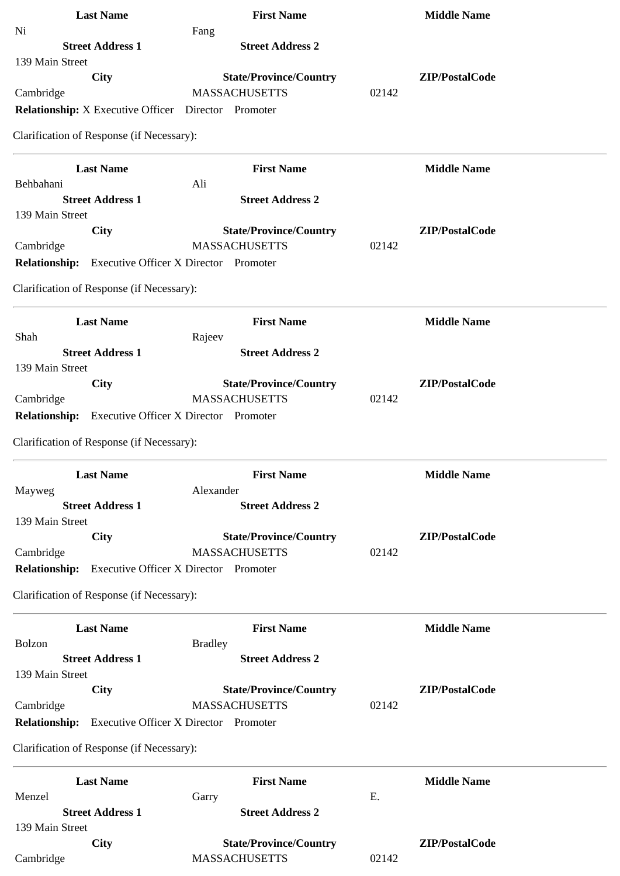| <b>Last Name</b>                                             | <b>First Name</b>                                     | <b>Middle Name</b> |
|--------------------------------------------------------------|-------------------------------------------------------|--------------------|
| Ni                                                           | Fang                                                  |                    |
| <b>Street Address 1</b>                                      | <b>Street Address 2</b>                               |                    |
| 139 Main Street                                              |                                                       |                    |
| City                                                         | <b>State/Province/Country</b>                         | ZIP/PostalCode     |
| Cambridge                                                    | <b>MASSACHUSETTS</b>                                  | 02142              |
| <b>Relationship:</b> X Executive Officer  Director  Promoter |                                                       |                    |
| Clarification of Response (if Necessary):                    |                                                       |                    |
| <b>Last Name</b>                                             | <b>First Name</b>                                     | <b>Middle Name</b> |
| Behbahani<br><b>Street Address 1</b>                         | Ali<br><b>Street Address 2</b>                        |                    |
| 139 Main Street                                              |                                                       |                    |
| City                                                         | <b>State/Province/Country</b>                         | ZIP/PostalCode     |
| Cambridge                                                    | <b>MASSACHUSETTS</b>                                  | 02142              |
| <b>Relationship:</b> Executive Officer X Director Promoter   |                                                       |                    |
| Clarification of Response (if Necessary):                    |                                                       |                    |
|                                                              |                                                       |                    |
| <b>Last Name</b><br>Shah                                     | <b>First Name</b>                                     | <b>Middle Name</b> |
| <b>Street Address 1</b>                                      | Rajeev<br><b>Street Address 2</b>                     |                    |
| 139 Main Street                                              |                                                       |                    |
| <b>City</b>                                                  | <b>State/Province/Country</b>                         | ZIP/PostalCode     |
| Cambridge                                                    | <b>MASSACHUSETTS</b>                                  | 02142              |
| <b>Relationship:</b> Executive Officer X Director Promoter   |                                                       |                    |
| Clarification of Response (if Necessary):                    |                                                       |                    |
|                                                              |                                                       |                    |
| <b>Last Name</b>                                             | <b>First Name</b>                                     | <b>Middle Name</b> |
| Mayweg<br><b>Street Address 1</b>                            | Alexander<br><b>Street Address 2</b>                  |                    |
| 139 Main Street                                              |                                                       |                    |
| City                                                         | <b>State/Province/Country</b>                         | ZIP/PostalCode     |
| Cambridge                                                    | <b>MASSACHUSETTS</b>                                  | 02142              |
| Relationship: Executive Officer X Director Promoter          |                                                       |                    |
| Clarification of Response (if Necessary):                    |                                                       |                    |
|                                                              |                                                       |                    |
| <b>Last Name</b>                                             | <b>First Name</b>                                     | <b>Middle Name</b> |
| Bolzon                                                       | <b>Bradley</b>                                        |                    |
| <b>Street Address 1</b>                                      | <b>Street Address 2</b>                               |                    |
| 139 Main Street<br>City                                      |                                                       | ZIP/PostalCode     |
| Cambridge                                                    | <b>State/Province/Country</b><br><b>MASSACHUSETTS</b> | 02142              |
| <b>Relationship:</b>                                         | <b>Executive Officer X Director Promoter</b>          |                    |
|                                                              |                                                       |                    |
| Clarification of Response (if Necessary):                    |                                                       |                    |
| <b>Last Name</b>                                             | <b>First Name</b>                                     | <b>Middle Name</b> |
| Menzel                                                       | Garry                                                 | Ε.                 |
| <b>Street Address 1</b>                                      | <b>Street Address 2</b>                               |                    |
| 139 Main Street                                              |                                                       |                    |
| <b>City</b>                                                  | <b>State/Province/Country</b>                         | ZIP/PostalCode     |
| Cambridge                                                    | <b>MASSACHUSETTS</b>                                  | 02142              |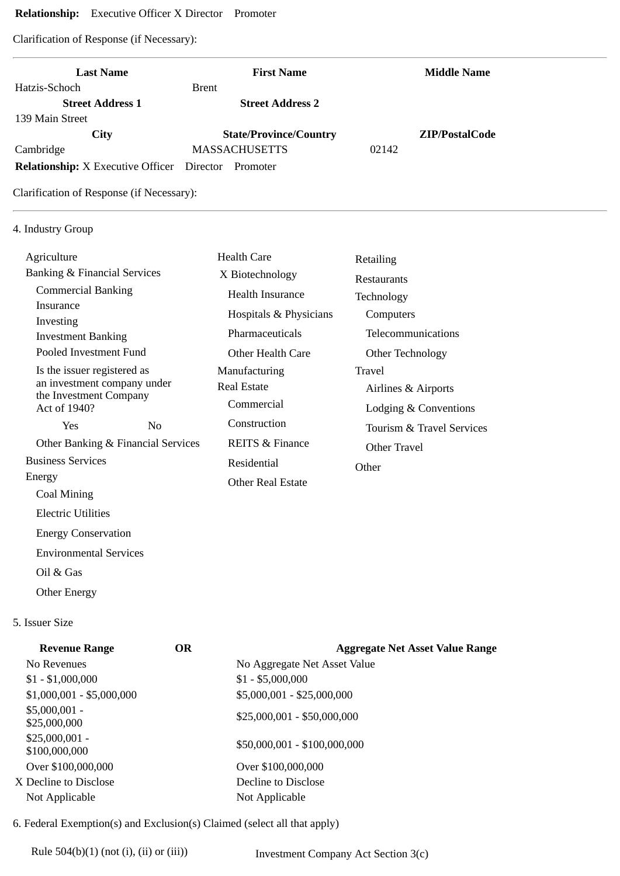## **Relationship:** Executive Officer X Director Promoter

Clarification of Response (if Necessary):

| <b>Last Name</b>                                    | <b>First Name</b>                   | <b>Middle Name</b>                     |
|-----------------------------------------------------|-------------------------------------|----------------------------------------|
| Hatzis-Schoch                                       | <b>Brent</b>                        |                                        |
| <b>Street Address 1</b>                             | <b>Street Address 2</b>             |                                        |
| 139 Main Street                                     |                                     |                                        |
| <b>City</b>                                         | <b>State/Province/Country</b>       | ZIP/PostalCode                         |
| Cambridge                                           | <b>MASSACHUSETTS</b>                | 02142                                  |
| <b>Relationship:</b> X Executive Officer            | Director<br>Promoter                |                                        |
| Clarification of Response (if Necessary):           |                                     |                                        |
| 4. Industry Group                                   |                                     |                                        |
| Agriculture                                         | <b>Health Care</b>                  | Retailing                              |
| <b>Banking &amp; Financial Services</b>             | X Biotechnology                     | Restaurants                            |
| <b>Commercial Banking</b>                           | <b>Health Insurance</b>             | Technology                             |
| Insurance                                           | Hospitals & Physicians              | Computers                              |
| Investing                                           | Pharmaceuticals                     | Telecommunications                     |
| <b>Investment Banking</b><br>Pooled Investment Fund | <b>Other Health Care</b>            |                                        |
| Is the issuer registered as                         |                                     | Other Technology<br>Travel             |
| an investment company under                         | Manufacturing<br><b>Real Estate</b> |                                        |
| the Investment Company                              | Commercial                          | Airlines & Airports                    |
| Act of 1940?                                        |                                     | Lodging & Conventions                  |
| N <sub>o</sub><br>Yes                               | Construction                        | Tourism & Travel Services              |
| Other Banking & Financial Services                  | <b>REITS &amp; Finance</b>          | Other Travel                           |
| <b>Business Services</b>                            | Residential                         | Other                                  |
| Energy                                              | <b>Other Real Estate</b>            |                                        |
| Coal Mining                                         |                                     |                                        |
| Electric Utilities                                  |                                     |                                        |
| <b>Energy Conservation</b>                          |                                     |                                        |
| <b>Environmental Services</b>                       |                                     |                                        |
| Oil & Gas                                           |                                     |                                        |
| <b>Other Energy</b>                                 |                                     |                                        |
| 5. Issuer Size                                      |                                     |                                        |
| <b>Revenue Range</b>                                | <b>OR</b>                           | <b>Aggregate Net Asset Value Range</b> |
| No Revenues                                         | No Aggregate Net Asset Value        |                                        |
| $$1 - $1,000,000$                                   | $$1 - $5,000,000$                   |                                        |
| $$1,000,001 - $5,000,000$                           | \$5,000,001 - \$25,000,000          |                                        |
| $$5,000,001 -$<br>\$25,000,000                      | \$25,000,001 - \$50,000,000         |                                        |
| \$25,000,001 -<br>\$100,000,000                     | \$50,000,001 - \$100,000,000        |                                        |
| Over \$100,000,000                                  | Over \$100,000,000                  |                                        |
|                                                     | Decline to Disclose                 |                                        |
| X Decline to Disclose                               |                                     |                                        |

6. Federal Exemption(s) and Exclusion(s) Claimed (select all that apply)

Rule 504(b)(1) (not (i), (ii) or (iii)) Investment Company Act Section 3(c)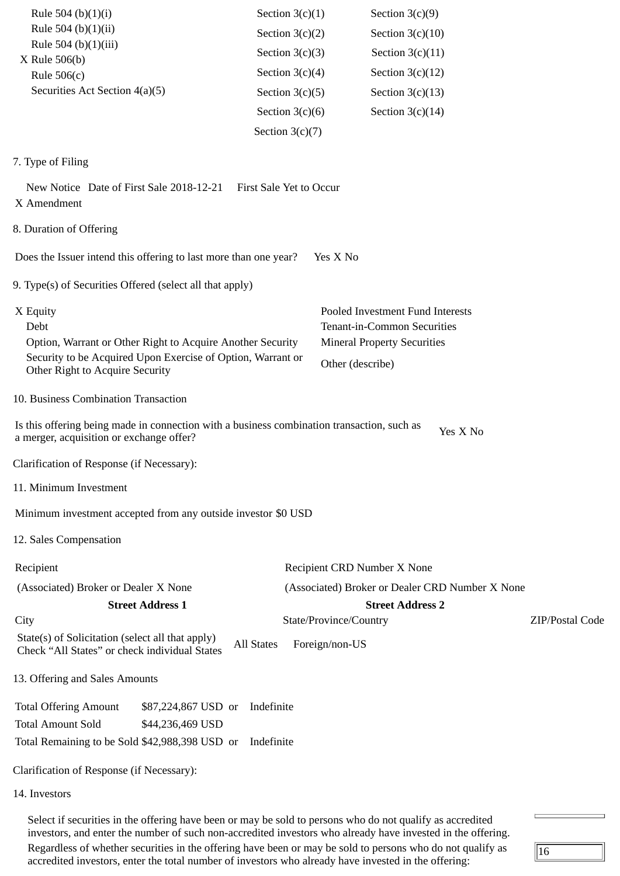| Rule 504 (b) $(1)(i)$                                                                                                                  | Section $3(c)(1)$       | Section $3(c)(9)$                               |                 |
|----------------------------------------------------------------------------------------------------------------------------------------|-------------------------|-------------------------------------------------|-----------------|
| Rule 504 (b)(1)(ii)                                                                                                                    | Section $3(c)(2)$       | Section $3(c)(10)$                              |                 |
| Rule 504 (b)(1)(iii)                                                                                                                   | Section $3(c)(3)$       | Section $3(c)(11)$                              |                 |
| X Rule 506(b)<br>Rule $506(c)$                                                                                                         | Section $3(c)(4)$       | Section $3(c)(12)$                              |                 |
| Securities Act Section 4(a)(5)                                                                                                         | Section $3(c)(5)$       | Section $3(c)(13)$                              |                 |
|                                                                                                                                        | Section $3(c)(6)$       | Section $3(c)(14)$                              |                 |
|                                                                                                                                        | Section $3(c)(7)$       |                                                 |                 |
|                                                                                                                                        |                         |                                                 |                 |
| 7. Type of Filing                                                                                                                      |                         |                                                 |                 |
| New Notice Date of First Sale 2018-12-21<br>X Amendment                                                                                | First Sale Yet to Occur |                                                 |                 |
| 8. Duration of Offering                                                                                                                |                         |                                                 |                 |
| Does the Issuer intend this offering to last more than one year?                                                                       |                         | Yes X No                                        |                 |
| 9. Type(s) of Securities Offered (select all that apply)                                                                               |                         |                                                 |                 |
| X Equity                                                                                                                               |                         | Pooled Investment Fund Interests                |                 |
| Debt                                                                                                                                   |                         | Tenant-in-Common Securities                     |                 |
| Option, Warrant or Other Right to Acquire Another Security<br>Security to be Acquired Upon Exercise of Option, Warrant or              |                         | <b>Mineral Property Securities</b>              |                 |
| Other Right to Acquire Security                                                                                                        |                         | Other (describe)                                |                 |
| 10. Business Combination Transaction                                                                                                   |                         |                                                 |                 |
| Is this offering being made in connection with a business combination transaction, such as<br>a merger, acquisition or exchange offer? |                         | Yes X No                                        |                 |
| Clarification of Response (if Necessary):                                                                                              |                         |                                                 |                 |
| 11. Minimum Investment                                                                                                                 |                         |                                                 |                 |
| Minimum investment accepted from any outside investor \$0 USD                                                                          |                         |                                                 |                 |
| 12. Sales Compensation                                                                                                                 |                         |                                                 |                 |
| Recipient                                                                                                                              |                         | Recipient CRD Number X None                     |                 |
| (Associated) Broker or Dealer X None                                                                                                   |                         | (Associated) Broker or Dealer CRD Number X None |                 |
| <b>Street Address 1</b>                                                                                                                |                         | <b>Street Address 2</b>                         |                 |
| City                                                                                                                                   |                         | State/Province/Country                          | ZIP/Postal Code |
| State(s) of Solicitation (select all that apply)<br>Check "All States" or check individual States                                      | <b>All States</b>       | Foreign/non-US                                  |                 |
| 13. Offering and Sales Amounts                                                                                                         |                         |                                                 |                 |
| <b>Total Offering Amount</b><br>\$87,224,867 USD or                                                                                    | Indefinite              |                                                 |                 |
| <b>Total Amount Sold</b><br>\$44,236,469 USD                                                                                           |                         |                                                 |                 |
| Total Remaining to be Sold \$42,988,398 USD or                                                                                         | Indefinite              |                                                 |                 |
| Clarification of Response (if Necessary):                                                                                              |                         |                                                 |                 |
| 14. Investors                                                                                                                          |                         |                                                 |                 |

Select if securities in the offering have been or may be sold to persons who do not qualify as accredited investors, and enter the number of such non-accredited investors who already have invested in the offering. Regardless of whether securities in the offering have been or may be sold to persons who do not qualify as accredited investors, enter the total number of investors who already have invested in the offering:

 $\sqrt{16}$